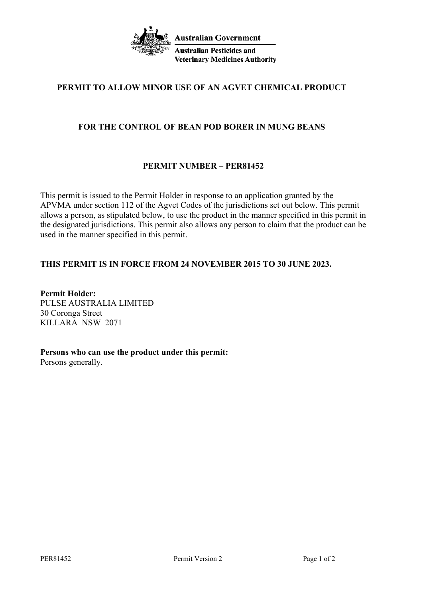

# **PERMIT TO ALLOW MINOR USE OF AN AGVET CHEMICAL PRODUCT**

## **FOR THE CONTROL OF BEAN POD BORER IN MUNG BEANS**

# **PERMIT NUMBER – PER81452**

This permit is issued to the Permit Holder in response to an application granted by the APVMA under section 112 of the Agvet Codes of the jurisdictions set out below. This permit allows a person, as stipulated below, to use the product in the manner specified in this permit in the designated jurisdictions. This permit also allows any person to claim that the product can be used in the manner specified in this permit.

# **THIS PERMIT IS IN FORCE FROM 24 NOVEMBER 2015 TO 30 JUNE 2023.**

**Permit Holder:** PULSE AUSTRALIA LIMITED 30 Coronga Street KILLARA NSW 2071

# **Persons who can use the product under this permit:**

Persons generally.